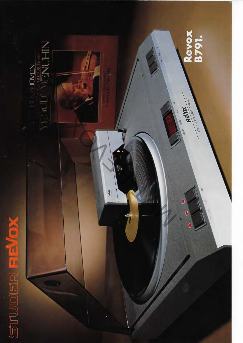